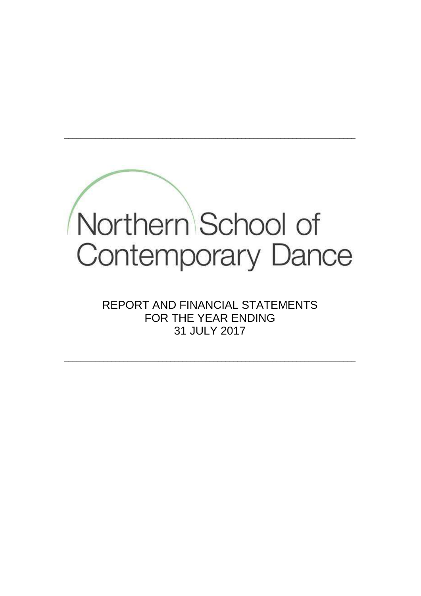

REPORT AND FINANCIAL STATEMENTS FOR THE YEAR ENDING 31 JULY 2017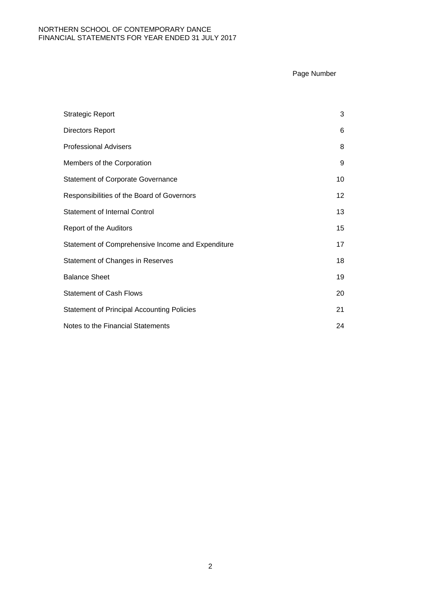### Page Number

| <b>Strategic Report</b>                           | 3  |
|---------------------------------------------------|----|
| <b>Directors Report</b>                           | 6  |
| <b>Professional Advisers</b>                      | 8  |
| Members of the Corporation                        | 9  |
| <b>Statement of Corporate Governance</b>          | 10 |
| Responsibilities of the Board of Governors        | 12 |
| <b>Statement of Internal Control</b>              | 13 |
| Report of the Auditors                            | 15 |
| Statement of Comprehensive Income and Expenditure | 17 |
| <b>Statement of Changes in Reserves</b>           | 18 |
| <b>Balance Sheet</b>                              | 19 |
| <b>Statement of Cash Flows</b>                    | 20 |
| <b>Statement of Principal Accounting Policies</b> | 21 |
| Notes to the Financial Statements                 | 24 |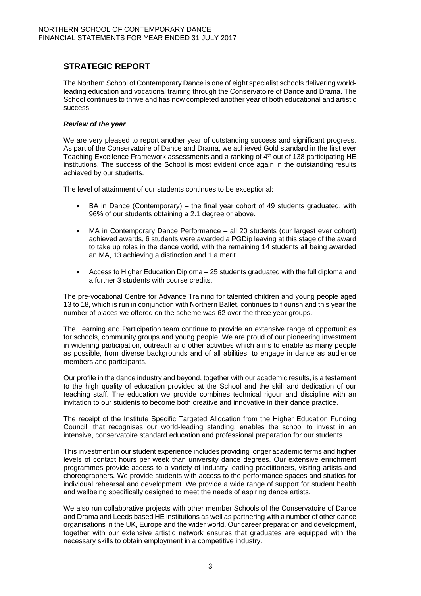# **STRATEGIC REPORT**

The Northern School of Contemporary Dance is one of eight specialist schools delivering worldleading education and vocational training through the Conservatoire of Dance and Drama. The School continues to thrive and has now completed another year of both educational and artistic success.

### *Review of the year*

We are very pleased to report another year of outstanding success and significant progress. As part of the Conservatoire of Dance and Drama, we achieved Gold standard in the first ever Teaching Excellence Framework assessments and a ranking of  $4<sup>th</sup>$  out of 138 participating HE institutions. The success of the School is most evident once again in the outstanding results achieved by our students.

The level of attainment of our students continues to be exceptional:

- BA in Dance (Contemporary) the final year cohort of 49 students graduated, with 96% of our students obtaining a 2.1 degree or above.
- MA in Contemporary Dance Performance all 20 students (our largest ever cohort) achieved awards, 6 students were awarded a PGDip leaving at this stage of the award to take up roles in the dance world, with the remaining 14 students all being awarded an MA, 13 achieving a distinction and 1 a merit.
- Access to Higher Education Diploma 25 students graduated with the full diploma and a further 3 students with course credits.

The pre-vocational Centre for Advance Training for talented children and young people aged 13 to 18, which is run in conjunction with Northern Ballet, continues to flourish and this year the number of places we offered on the scheme was 62 over the three year groups.

The Learning and Participation team continue to provide an extensive range of opportunities for schools, community groups and young people. We are proud of our pioneering investment in widening participation, outreach and other activities which aims to enable as many people as possible, from diverse backgrounds and of all abilities, to engage in dance as audience members and participants.

Our profile in the dance industry and beyond, together with our academic results, is a testament to the high quality of education provided at the School and the skill and dedication of our teaching staff. The education we provide combines technical rigour and discipline with an invitation to our students to become both creative and innovative in their dance practice.

The receipt of the Institute Specific Targeted Allocation from the Higher Education Funding Council, that recognises our world-leading standing, enables the school to invest in an intensive, conservatoire standard education and professional preparation for our students.

This investment in our student experience includes providing longer academic terms and higher levels of contact hours per week than university dance degrees. Our extensive enrichment programmes provide access to a variety of industry leading practitioners, visiting artists and choreographers. We provide students with access to the performance spaces and studios for individual rehearsal and development. We provide a wide range of support for student health and wellbeing specifically designed to meet the needs of aspiring dance artists.

We also run collaborative projects with other member Schools of the Conservatoire of Dance and Drama and Leeds based HE institutions as well as partnering with a number of other dance organisations in the UK, Europe and the wider world. Our career preparation and development, together with our extensive artistic network ensures that graduates are equipped with the necessary skills to obtain employment in a competitive industry.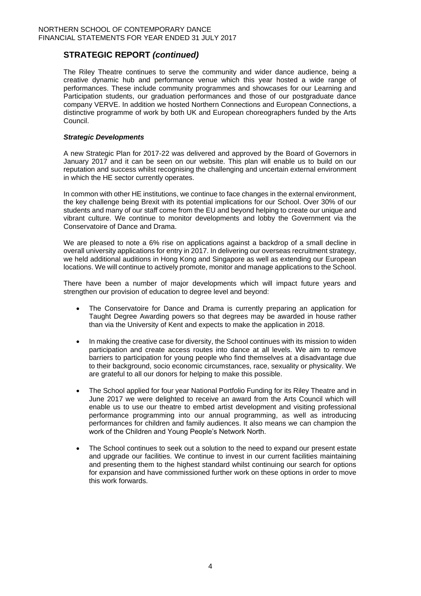## **STRATEGIC REPORT** *(continued)*

The Riley Theatre continues to serve the community and wider dance audience, being a creative dynamic hub and performance venue which this year hosted a wide range of performances. These include community programmes and showcases for our Learning and Participation students, our graduation performances and those of our postgraduate dance company VERVE. In addition we hosted Northern Connections and European Connections, a distinctive programme of work by both UK and European choreographers funded by the Arts Council.

### *Strategic Developments*

A new Strategic Plan for 2017-22 was delivered and approved by the Board of Governors in January 2017 and it can be seen on our website. This plan will enable us to build on our reputation and success whilst recognising the challenging and uncertain external environment in which the HE sector currently operates.

In common with other HE institutions, we continue to face changes in the external environment, the key challenge being Brexit with its potential implications for our School. Over 30% of our students and many of our staff come from the EU and beyond helping to create our unique and vibrant culture. We continue to monitor developments and lobby the Government via the Conservatoire of Dance and Drama.

We are pleased to note a 6% rise on applications against a backdrop of a small decline in overall university applications for entry in 2017. In delivering our overseas recruitment strategy, we held additional auditions in Hong Kong and Singapore as well as extending our European locations. We will continue to actively promote, monitor and manage applications to the School.

There have been a number of major developments which will impact future years and strengthen our provision of education to degree level and beyond:

- The Conservatoire for Dance and Drama is currently preparing an application for Taught Degree Awarding powers so that degrees may be awarded in house rather than via the University of Kent and expects to make the application in 2018.
- In making the creative case for diversity, the School continues with its mission to widen participation and create access routes into dance at all levels. We aim to remove barriers to participation for young people who find themselves at a disadvantage due to their background, socio economic circumstances, race, sexuality or physicality. We are grateful to all our donors for helping to make this possible.
- The School applied for four year National Portfolio Funding for its Riley Theatre and in June 2017 we were delighted to receive an award from the Arts Council which will enable us to use our theatre to embed artist development and visiting professional performance programming into our annual programming, as well as introducing performances for children and family audiences. It also means we can champion the work of the Children and Young People's Network North.
- The School continues to seek out a solution to the need to expand our present estate and upgrade our facilities. We continue to invest in our current facilities maintaining and presenting them to the highest standard whilst continuing our search for options for expansion and have commissioned further work on these options in order to move this work forwards.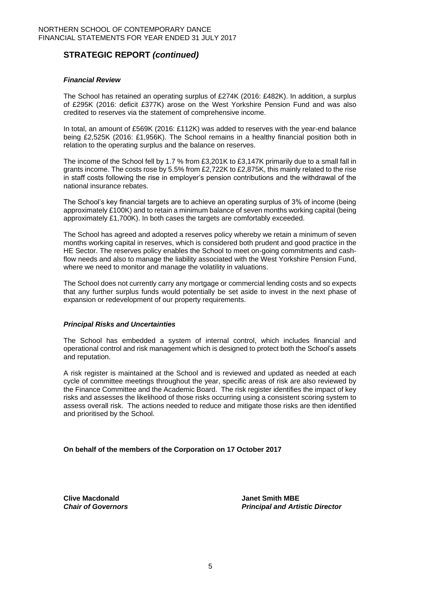# **STRATEGIC REPORT** *(continued)*

### *Financial Review*

The School has retained an operating surplus of £274K (2016: £482K). In addition, a surplus of £295K (2016: deficit £377K) arose on the West Yorkshire Pension Fund and was also credited to reserves via the statement of comprehensive income.

In total, an amount of £569K (2016: £112K) was added to reserves with the year-end balance being £2,525K (2016: £1,956K). The School remains in a healthy financial position both in relation to the operating surplus and the balance on reserves.

The income of the School fell by 1.7 % from £3,201K to £3,147K primarily due to a small fall in grants income. The costs rose by 5.5% from £2,722K to £2,875K, this mainly related to the rise in staff costs following the rise in employer's pension contributions and the withdrawal of the national insurance rebates.

The School's key financial targets are to achieve an operating surplus of 3% of income (being approximately £100K) and to retain a minimum balance of seven months working capital (being approximately £1,700K). In both cases the targets are comfortably exceeded.

The School has agreed and adopted a reserves policy whereby we retain a minimum of seven months working capital in reserves, which is considered both prudent and good practice in the HE Sector. The reserves policy enables the School to meet on-going commitments and cashflow needs and also to manage the liability associated with the West Yorkshire Pension Fund, where we need to monitor and manage the volatility in valuations.

The School does not currently carry any mortgage or commercial lending costs and so expects that any further surplus funds would potentially be set aside to invest in the next phase of expansion or redevelopment of our property requirements.

#### *Principal Risks and Uncertainties*

The School has embedded a system of internal control, which includes financial and operational control and risk management which is designed to protect both the School's assets and reputation.

A risk register is maintained at the School and is reviewed and updated as needed at each cycle of committee meetings throughout the year, specific areas of risk are also reviewed by the Finance Committee and the Academic Board. The risk register identifies the impact of key risks and assesses the likelihood of those risks occurring using a consistent scoring system to assess overall risk. The actions needed to reduce and mitigate those risks are then identified and prioritised by the School.

**On behalf of the members of the Corporation on 17 October 2017**

**Clive Macdonald Janet Smith MBE**

*Chair of Governors Principal and Artistic Director*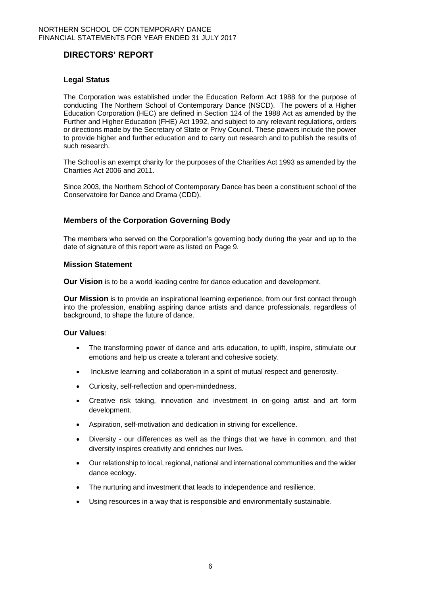# **DIRECTORS' REPORT**

### **Legal Status**

The Corporation was established under the Education Reform Act 1988 for the purpose of conducting The Northern School of Contemporary Dance (NSCD). The powers of a Higher Education Corporation (HEC) are defined in Section 124 of the 1988 Act as amended by the Further and Higher Education (FHE) Act 1992, and subject to any relevant regulations, orders or directions made by the Secretary of State or Privy Council. These powers include the power to provide higher and further education and to carry out research and to publish the results of such research.

The School is an exempt charity for the purposes of the Charities Act 1993 as amended by the Charities Act 2006 and 2011.

Since 2003, the Northern School of Contemporary Dance has been a constituent school of the Conservatoire for Dance and Drama (CDD).

### **Members of the Corporation Governing Body**

The members who served on the Corporation's governing body during the year and up to the date of signature of this report were as listed on Page 9.

#### **Mission Statement**

**Our Vision** is to be a world leading centre for dance education and development.

**Our Mission** is to provide an inspirational learning experience, from our first contact through into the profession, enabling aspiring dance artists and dance professionals, regardless of background, to shape the future of dance.

### **Our Values**:

- The transforming power of dance and arts education, to uplift, inspire, stimulate our emotions and help us create a tolerant and cohesive society.
- Inclusive learning and collaboration in a spirit of mutual respect and generosity.
- Curiosity, self-reflection and open-mindedness.
- Creative risk taking, innovation and investment in on-going artist and art form development.
- Aspiration, self-motivation and dedication in striving for excellence.
- Diversity our differences as well as the things that we have in common, and that diversity inspires creativity and enriches our lives.
- Our relationship to local, regional, national and international communities and the wider dance ecology.
- The nurturing and investment that leads to independence and resilience.
- Using resources in a way that is responsible and environmentally sustainable.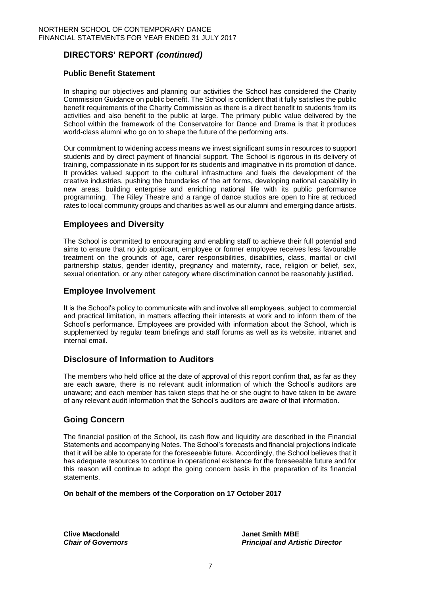# **DIRECTORS' REPORT** *(continued)*

### **Public Benefit Statement**

In shaping our objectives and planning our activities the School has considered the Charity Commission Guidance on public benefit. The School is confident that it fully satisfies the public benefit requirements of the Charity Commission as there is a direct benefit to students from its activities and also benefit to the public at large. The primary public value delivered by the School within the framework of the Conservatoire for Dance and Drama is that it produces world-class alumni who go on to shape the future of the performing arts.

Our commitment to widening access means we invest significant sums in resources to support students and by direct payment of financial support. The School is rigorous in its delivery of training, compassionate in its support for its students and imaginative in its promotion of dance. It provides valued support to the cultural infrastructure and fuels the development of the creative industries, pushing the boundaries of the art forms, developing national capability in new areas, building enterprise and enriching national life with its public performance programming. The Riley Theatre and a range of dance studios are open to hire at reduced rates to local community groups and charities as well as our alumni and emerging dance artists.

### **Employees and Diversity**

The School is committed to encouraging and enabling staff to achieve their full potential and aims to ensure that no job applicant, employee or former employee receives less favourable treatment on the grounds of age, carer responsibilities, disabilities, class, marital or civil partnership status, gender identity, pregnancy and maternity, race, religion or belief, sex, sexual orientation, or any other category where discrimination cannot be reasonably justified.

### **Employee Involvement**

It is the School's policy to communicate with and involve all employees, subject to commercial and practical limitation, in matters affecting their interests at work and to inform them of the School's performance. Employees are provided with information about the School, which is supplemented by regular team briefings and staff forums as well as its website, intranet and internal email.

### **Disclosure of Information to Auditors**

The members who held office at the date of approval of this report confirm that, as far as they are each aware, there is no relevant audit information of which the School's auditors are unaware; and each member has taken steps that he or she ought to have taken to be aware of any relevant audit information that the School's auditors are aware of that information.

### **Going Concern**

The financial position of the School, its cash flow and liquidity are described in the Financial Statements and accompanying Notes. The School's forecasts and financial projections indicate that it will be able to operate for the foreseeable future. Accordingly, the School believes that it has adequate resources to continue in operational existence for the foreseeable future and for this reason will continue to adopt the going concern basis in the preparation of its financial statements.

**On behalf of the members of the Corporation on 17 October 2017**

**Clive Macdonald Janet Smith MBE**

*Chair of Governors Principal and Artistic Director*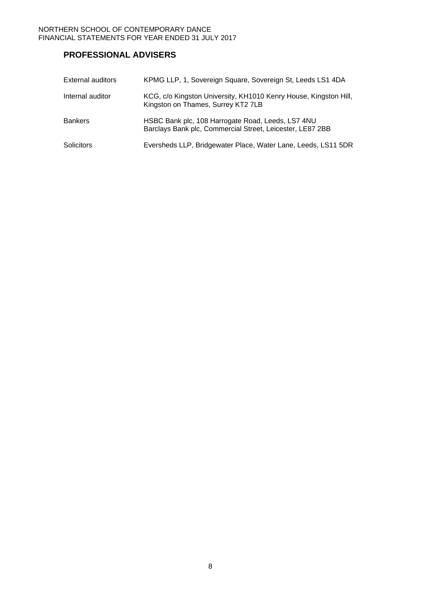# **PROFESSIONAL ADVISERS**

| <b>External auditors</b> | KPMG LLP, 1, Sovereign Square, Sovereign St, Leeds LS1 4DA                                                     |
|--------------------------|----------------------------------------------------------------------------------------------------------------|
| Internal auditor         | KCG, c/o Kingston University, KH1010 Kenry House, Kingston Hill,<br>Kingston on Thames, Surrey KT2 7LB         |
| <b>Bankers</b>           | HSBC Bank plc, 108 Harrogate Road, Leeds, LS7 4NU<br>Barclays Bank plc, Commercial Street, Leicester, LE87 2BB |
| <b>Solicitors</b>        | Eversheds LLP, Bridgewater Place, Water Lane, Leeds, LS11 5DR                                                  |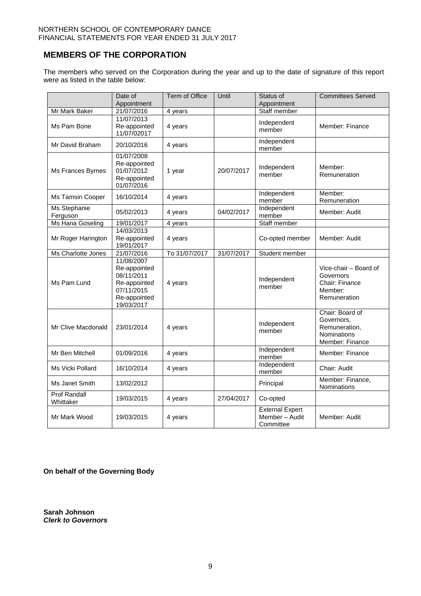## **MEMBERS OF THE CORPORATION**

The members who served on the Corporation during the year and up to the date of signature of this report were as listed in the table below:

|                                  | Date of<br>Appointment                                                                               | Term of Office | Until      | Status of<br>Appointment                              | <b>Committees Served</b>                                                                |
|----------------------------------|------------------------------------------------------------------------------------------------------|----------------|------------|-------------------------------------------------------|-----------------------------------------------------------------------------------------|
| Mr Mark Baker                    | 21/07/2016                                                                                           | 4 years        |            | Staff member                                          |                                                                                         |
| Ms Pam Bone                      | 11/07/2013<br>Re-appointed<br>11/07/02017                                                            | 4 years        |            | Independent<br>member                                 | Member: Finance                                                                         |
| Mr David Braham                  | 20/10/2016                                                                                           | 4 years        |            | Independent<br>member                                 |                                                                                         |
| Ms Frances Byrnes                | 01/07/2008<br>Re-appointed<br>01/07/2012<br>Re-appointed<br>01/07/2016                               | 1 year         | 20/07/2017 | Independent<br>member                                 | Member:<br>Remuneration                                                                 |
| Ms Tamsin Cooper                 | 16/10/2014                                                                                           | 4 years        |            | Independent<br>member                                 | Member:<br>Remuneration                                                                 |
| Ms Stephanie<br>Ferguson         | 05/02/2013                                                                                           | 4 years        | 04/02/2017 | Independent<br>member                                 | Member: Audit                                                                           |
| Ms Hana Goseling                 | 19/01/2017                                                                                           | 4 years        |            | Staff member                                          |                                                                                         |
| Mr Roger Harington               | 14/03/2013<br>Re-appointed<br>19/01/2017                                                             | 4 years        |            | Co-opted member                                       | Member: Audit                                                                           |
| Ms Charlotte Jones               | 21/07/2016                                                                                           | To 31/07/2017  | 31/07/2017 | Student member                                        |                                                                                         |
| Ms Pam Lund                      | 11/08/2007<br>Re-appointed<br>08/11/2011<br>Re-appointed<br>07/11/2015<br>Re-appointed<br>19/03/2017 | 4 years        |            | Independent<br>member                                 | Vice-chair - Board of<br>Governors<br>Chair: Finance<br>Member:<br>Remuneration         |
| Mr Clive Macdonald               | 23/01/2014                                                                                           | 4 years        |            | Independent<br>member                                 | Chair: Board of<br>Governors,<br>Remuneration,<br><b>Nominations</b><br>Member: Finance |
| Mr Ben Mitchell                  | 01/09/2016                                                                                           | 4 years        |            | Independent<br>member                                 | Member: Finance                                                                         |
| Ms Vicki Pollard                 | 16/10/2014                                                                                           | 4 years        |            | Independent<br>member                                 | Chair: Audit                                                                            |
| Ms Janet Smith                   | 13/02/2012                                                                                           |                |            | Principal                                             | Member: Finance,<br>Nominations                                                         |
| <b>Prof Randall</b><br>Whittaker | 19/03/2015                                                                                           | 4 years        | 27/04/2017 | Co-opted                                              |                                                                                         |
| Mr Mark Wood                     | 19/03/2015                                                                                           | 4 years        |            | <b>External Expert</b><br>Member - Audit<br>Committee | Member: Audit                                                                           |

**On behalf of the Governing Body**

**Sarah Johnson** *Clerk to Governors*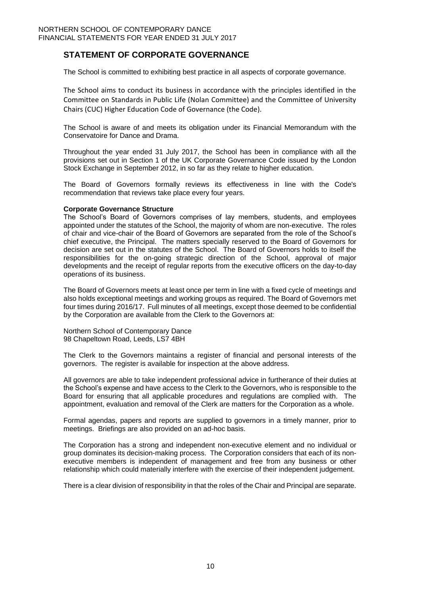## **STATEMENT OF CORPORATE GOVERNANCE**

The School is committed to exhibiting best practice in all aspects of corporate governance.

The School aims to conduct its business in accordance with the principles identified in the Committee on Standards in Public Life (Nolan Committee) and the Committee of University Chairs (CUC) Higher Education Code of Governance (the Code).

The School is aware of and meets its obligation under its Financial Memorandum with the Conservatoire for Dance and Drama.

Throughout the year ended 31 July 2017, the School has been in compliance with all the provisions set out in Section 1 of the UK Corporate Governance Code issued by the London Stock Exchange in September 2012, in so far as they relate to higher education.

The Board of Governors formally reviews its effectiveness in line with the Code's recommendation that reviews take place every four years.

#### **Corporate Governance Structure**

The School's Board of Governors comprises of lay members, students, and employees appointed under the statutes of the School, the majority of whom are non-executive. The roles of chair and vice-chair of the Board of Governors are separated from the role of the School's chief executive, the Principal. The matters specially reserved to the Board of Governors for decision are set out in the statutes of the School. The Board of Governors holds to itself the responsibilities for the on-going strategic direction of the School, approval of major developments and the receipt of regular reports from the executive officers on the day-to-day operations of its business.

The Board of Governors meets at least once per term in line with a fixed cycle of meetings and also holds exceptional meetings and working groups as required. The Board of Governors met four times during 2016/17. Full minutes of all meetings, except those deemed to be confidential by the Corporation are available from the Clerk to the Governors at:

Northern School of Contemporary Dance 98 Chapeltown Road, Leeds, LS7 4BH

The Clerk to the Governors maintains a register of financial and personal interests of the governors. The register is available for inspection at the above address.

All governors are able to take independent professional advice in furtherance of their duties at the School's expense and have access to the Clerk to the Governors, who is responsible to the Board for ensuring that all applicable procedures and regulations are complied with. The appointment, evaluation and removal of the Clerk are matters for the Corporation as a whole.

Formal agendas, papers and reports are supplied to governors in a timely manner, prior to meetings. Briefings are also provided on an ad-hoc basis.

The Corporation has a strong and independent non-executive element and no individual or group dominates its decision-making process. The Corporation considers that each of its nonexecutive members is independent of management and free from any business or other relationship which could materially interfere with the exercise of their independent judgement.

There is a clear division of responsibility in that the roles of the Chair and Principal are separate.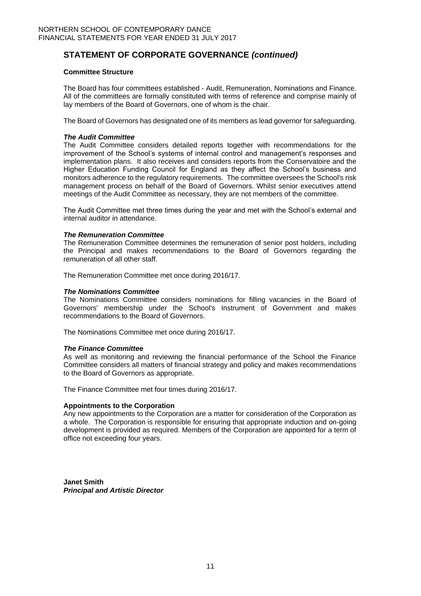# **STATEMENT OF CORPORATE GOVERNANCE** *(continued)*

### **Committee Structure**

The Board has four committees established - Audit, Remuneration, Nominations and Finance. All of the committees are formally constituted with terms of reference and comprise mainly of lay members of the Board of Governors, one of whom is the chair.

The Board of Governors has designated one of its members as lead governor for safeguarding.

#### *The Audit Committee*

The Audit Committee considers detailed reports together with recommendations for the improvement of the School's systems of internal control and management's responses and implementation plans. It also receives and considers reports from the Conservatoire and the Higher Education Funding Council for England as they affect the School's business and monitors adherence to the regulatory requirements. The committee oversees the School's risk management process on behalf of the Board of Governors. Whilst senior executives attend meetings of the Audit Committee as necessary, they are not members of the committee.

The Audit Committee met three times during the year and met with the School's external and internal auditor in attendance.

#### *The Remuneration Committee*

The Remuneration Committee determines the remuneration of senior post holders, including the Principal and makes recommendations to the Board of Governors regarding the remuneration of all other staff.

The Remuneration Committee met once during 2016/17.

#### *The Nominations Committee*

The Nominations Committee considers nominations for filling vacancies in the Board of Governors' membership under the School's Instrument of Government and makes recommendations to the Board of Governors.

The Nominations Committee met once during 2016/17.

#### *The Finance Committee*

As well as monitoring and reviewing the financial performance of the School the Finance Committee considers all matters of financial strategy and policy and makes recommendations to the Board of Governors as appropriate.

The Finance Committee met four times during 2016/17.

#### **Appointments to the Corporation**

Any new appointments to the Corporation are a matter for consideration of the Corporation as a whole. The Corporation is responsible for ensuring that appropriate induction and on-going development is provided as required. Members of the Corporation are appointed for a term of office not exceeding four years.

**Janet Smith** *Principal and Artistic Director*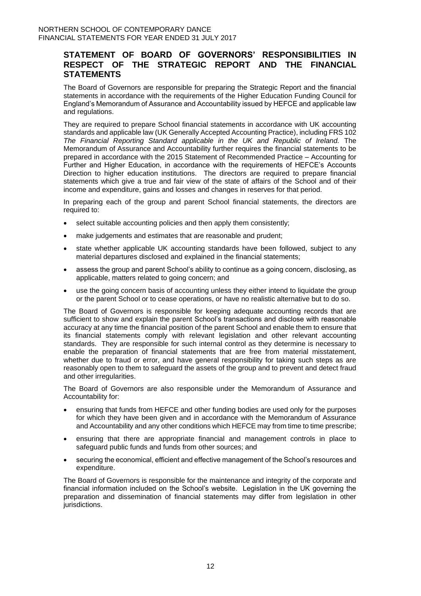## **STATEMENT OF BOARD OF GOVERNORS' RESPONSIBILITIES IN RESPECT OF THE STRATEGIC REPORT AND THE FINANCIAL STATEMENTS**

The Board of Governors are responsible for preparing the Strategic Report and the financial statements in accordance with the requirements of the Higher Education Funding Council for England's Memorandum of Assurance and Accountability issued by HEFCE and applicable law and regulations.

They are required to prepare School financial statements in accordance with UK accounting standards and applicable law (UK Generally Accepted Accounting Practice), including FRS 102 *The Financial Reporting Standard applicable in the UK and Republic of Ireland.* The Memorandum of Assurance and Accountability further requires the financial statements to be prepared in accordance with the 2015 Statement of Recommended Practice – Accounting for Further and Higher Education, in accordance with the requirements of HEFCE's Accounts Direction to higher education institutions. The directors are required to prepare financial statements which give a true and fair view of the state of affairs of the School and of their income and expenditure, gains and losses and changes in reserves for that period.

In preparing each of the group and parent School financial statements, the directors are required to:

- select suitable accounting policies and then apply them consistently;
- make judgements and estimates that are reasonable and prudent;
- state whether applicable UK accounting standards have been followed, subject to any material departures disclosed and explained in the financial statements;
- assess the group and parent School's ability to continue as a going concern, disclosing, as applicable, matters related to going concern; and
- use the going concern basis of accounting unless they either intend to liquidate the group or the parent School or to cease operations, or have no realistic alternative but to do so.

The Board of Governors is responsible for keeping adequate accounting records that are sufficient to show and explain the parent School's transactions and disclose with reasonable accuracy at any time the financial position of the parent School and enable them to ensure that its financial statements comply with relevant legislation and other relevant accounting standards. They are responsible for such internal control as they determine is necessary to enable the preparation of financial statements that are free from material misstatement, whether due to fraud or error, and have general responsibility for taking such steps as are reasonably open to them to safeguard the assets of the group and to prevent and detect fraud and other irregularities.

The Board of Governors are also responsible under the Memorandum of Assurance and Accountability for:

- ensuring that funds from HEFCE and other funding bodies are used only for the purposes for which they have been given and in accordance with the Memorandum of Assurance and Accountability and any other conditions which HEFCE may from time to time prescribe;
- ensuring that there are appropriate financial and management controls in place to safeguard public funds and funds from other sources; and
- securing the economical, efficient and effective management of the School's resources and expenditure.

The Board of Governors is responsible for the maintenance and integrity of the corporate and financial information included on the School's website. Legislation in the UK governing the preparation and dissemination of financial statements may differ from legislation in other jurisdictions.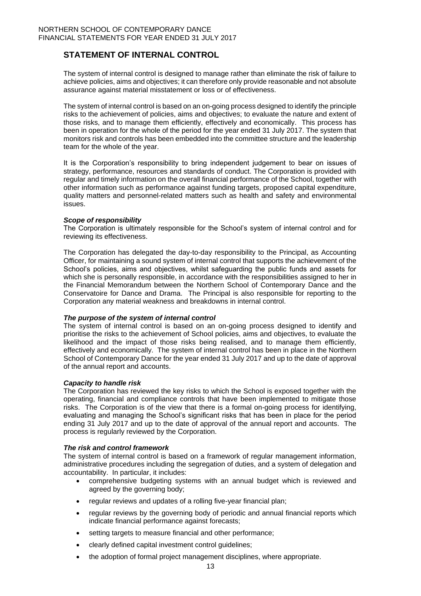## **STATEMENT OF INTERNAL CONTROL**

The system of internal control is designed to manage rather than eliminate the risk of failure to achieve policies, aims and objectives; it can therefore only provide reasonable and not absolute assurance against material misstatement or loss or of effectiveness.

The system of internal control is based on an on-going process designed to identify the principle risks to the achievement of policies, aims and objectives; to evaluate the nature and extent of those risks, and to manage them efficiently, effectively and economically. This process has been in operation for the whole of the period for the year ended 31 July 2017. The system that monitors risk and controls has been embedded into the committee structure and the leadership team for the whole of the year.

It is the Corporation's responsibility to bring independent judgement to bear on issues of strategy, performance, resources and standards of conduct. The Corporation is provided with regular and timely information on the overall financial performance of the School, together with other information such as performance against funding targets, proposed capital expenditure, quality matters and personnel-related matters such as health and safety and environmental issues.

#### *Scope of responsibility*

The Corporation is ultimately responsible for the School's system of internal control and for reviewing its effectiveness.

The Corporation has delegated the day-to-day responsibility to the Principal, as Accounting Officer, for maintaining a sound system of internal control that supports the achievement of the School's policies, aims and objectives, whilst safeguarding the public funds and assets for which she is personally responsible, in accordance with the responsibilities assigned to her in the Financial Memorandum between the Northern School of Contemporary Dance and the Conservatoire for Dance and Drama. The Principal is also responsible for reporting to the Corporation any material weakness and breakdowns in internal control.

#### *The purpose of the system of internal control*

The system of internal control is based on an on-going process designed to identify and prioritise the risks to the achievement of School policies, aims and objectives, to evaluate the likelihood and the impact of those risks being realised, and to manage them efficiently, effectively and economically. The system of internal control has been in place in the Northern School of Contemporary Dance for the year ended 31 July 2017 and up to the date of approval of the annual report and accounts.

#### *Capacity to handle risk*

The Corporation has reviewed the key risks to which the School is exposed together with the operating, financial and compliance controls that have been implemented to mitigate those risks. The Corporation is of the view that there is a formal on-going process for identifying, evaluating and managing the School's significant risks that has been in place for the period ending 31 July 2017 and up to the date of approval of the annual report and accounts. The process is regularly reviewed by the Corporation.

#### *The risk and control framework*

The system of internal control is based on a framework of regular management information, administrative procedures including the segregation of duties, and a system of delegation and accountability. In particular, it includes:

- comprehensive budgeting systems with an annual budget which is reviewed and agreed by the governing body;
- regular reviews and updates of a rolling five-year financial plan;
- regular reviews by the governing body of periodic and annual financial reports which indicate financial performance against forecasts;
- setting targets to measure financial and other performance;
- clearly defined capital investment control guidelines;
- the adoption of formal project management disciplines, where appropriate.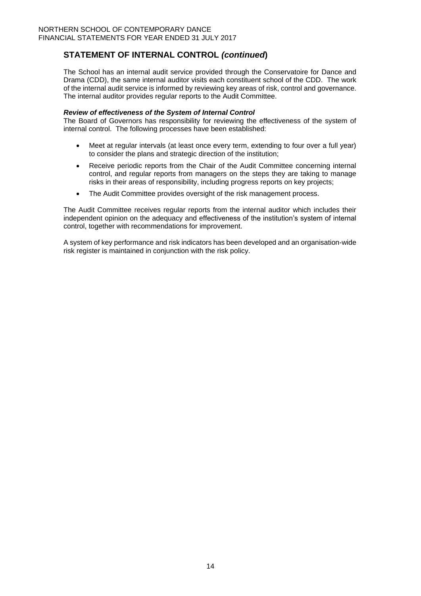# **STATEMENT OF INTERNAL CONTROL** *(continued***)**

The School has an internal audit service provided through the Conservatoire for Dance and Drama (CDD), the same internal auditor visits each constituent school of the CDD. The work of the internal audit service is informed by reviewing key areas of risk, control and governance. The internal auditor provides regular reports to the Audit Committee.

### *Review of effectiveness of the System of Internal Control*

The Board of Governors has responsibility for reviewing the effectiveness of the system of internal control. The following processes have been established:

- Meet at regular intervals (at least once every term, extending to four over a full year) to consider the plans and strategic direction of the institution;
- Receive periodic reports from the Chair of the Audit Committee concerning internal control, and regular reports from managers on the steps they are taking to manage risks in their areas of responsibility, including progress reports on key projects;
- The Audit Committee provides oversight of the risk management process.

The Audit Committee receives regular reports from the internal auditor which includes their independent opinion on the adequacy and effectiveness of the institution's system of internal control, together with recommendations for improvement.

A system of key performance and risk indicators has been developed and an organisation-wide risk register is maintained in conjunction with the risk policy.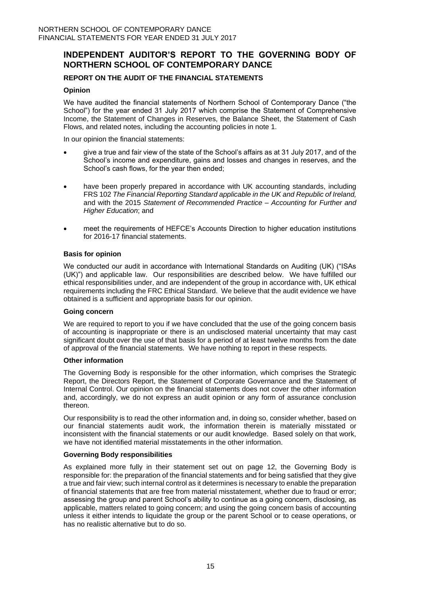## **INDEPENDENT AUDITOR'S REPORT TO THE GOVERNING BODY OF NORTHERN SCHOOL OF CONTEMPORARY DANCE**

### **REPORT ON THE AUDIT OF THE FINANCIAL STATEMENTS**

### **Opinion**

We have audited the financial statements of Northern School of Contemporary Dance ("the School") for the year ended 31 July 2017 which comprise the Statement of Comprehensive Income, the Statement of Changes in Reserves, the Balance Sheet, the Statement of Cash Flows, and related notes, including the accounting policies in note 1.

In our opinion the financial statements:

- give a true and fair view of the state of the School's affairs as at 31 July 2017, and of the School's income and expenditure, gains and losses and changes in reserves, and the School's cash flows, for the year then ended;
- have been properly prepared in accordance with UK accounting standards, including FRS 102 *The Financial Reporting Standard applicable in the UK and Republic of Ireland,* and with the 2015 *Statement of Recommended Practice – Accounting for Further and Higher Education*; and
- meet the requirements of HEFCE's Accounts Direction to higher education institutions for 2016-17 financial statements.

#### **Basis for opinion**

We conducted our audit in accordance with International Standards on Auditing (UK) ("ISAs (UK)") and applicable law. Our responsibilities are described below. We have fulfilled our ethical responsibilities under, and are independent of the group in accordance with, UK ethical requirements including the FRC Ethical Standard. We believe that the audit evidence we have obtained is a sufficient and appropriate basis for our opinion.

#### **Going concern**

We are required to report to you if we have concluded that the use of the going concern basis of accounting is inappropriate or there is an undisclosed material uncertainty that may cast significant doubt over the use of that basis for a period of at least twelve months from the date of approval of the financial statements. We have nothing to report in these respects.

#### **Other information**

The Governing Body is responsible for the other information, which comprises the Strategic Report, the Directors Report, the Statement of Corporate Governance and the Statement of Internal Control. Our opinion on the financial statements does not cover the other information and, accordingly, we do not express an audit opinion or any form of assurance conclusion thereon.

Our responsibility is to read the other information and, in doing so, consider whether, based on our financial statements audit work, the information therein is materially misstated or inconsistent with the financial statements or our audit knowledge. Based solely on that work, we have not identified material misstatements in the other information.

#### **Governing Body responsibilities**

As explained more fully in their statement set out on page 12, the Governing Body is responsible for: the preparation of the financial statements and for being satisfied that they give a true and fair view; such internal control as it determines is necessary to enable the preparation of financial statements that are free from material misstatement, whether due to fraud or error; assessing the group and parent School's ability to continue as a going concern, disclosing, as applicable, matters related to going concern; and using the going concern basis of accounting unless it either intends to liquidate the group or the parent School or to cease operations, or has no realistic alternative but to do so.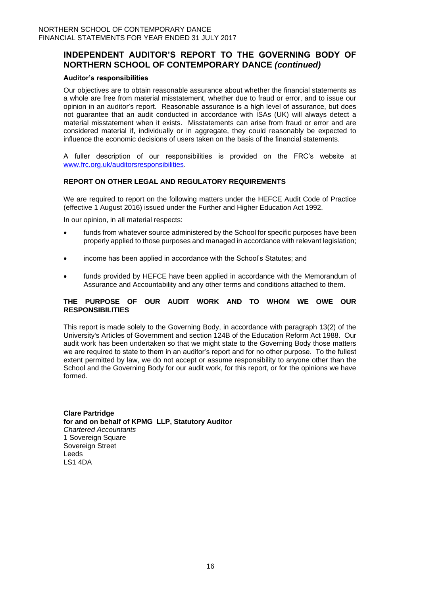## **INDEPENDENT AUDITOR'S REPORT TO THE GOVERNING BODY OF NORTHERN SCHOOL OF CONTEMPORARY DANCE** *(continued)*

### **Auditor's responsibilities**

Our objectives are to obtain reasonable assurance about whether the financial statements as a whole are free from material misstatement, whether due to fraud or error, and to issue our opinion in an auditor's report. Reasonable assurance is a high level of assurance, but does not guarantee that an audit conducted in accordance with ISAs (UK) will always detect a material misstatement when it exists. Misstatements can arise from fraud or error and are considered material if, individually or in aggregate, they could reasonably be expected to influence the economic decisions of users taken on the basis of the financial statements.

A fuller description of our responsibilities is provided on the FRC's website at [www.frc.org.uk/auditorsresponsibilities.](http://www.frc.org.uk/auditorsresponsibilities)

### **REPORT ON OTHER LEGAL AND REGULATORY REQUIREMENTS**

We are required to report on the following matters under the HEFCE Audit Code of Practice (effective 1 August 2016) issued under the Further and Higher Education Act 1992.

In our opinion, in all material respects:

- funds from whatever source administered by the School for specific purposes have been properly applied to those purposes and managed in accordance with relevant legislation;
- income has been applied in accordance with the School's Statutes; and
- funds provided by HEFCE have been applied in accordance with the Memorandum of Assurance and Accountability and any other terms and conditions attached to them.

### **THE PURPOSE OF OUR AUDIT WORK AND TO WHOM WE OWE OUR RESPONSIBILITIES**

This report is made solely to the Governing Body, in accordance with paragraph 13(2) of the University's Articles of Government and section 124B of the Education Reform Act 1988. Our audit work has been undertaken so that we might state to the Governing Body those matters we are required to state to them in an auditor's report and for no other purpose. To the fullest extent permitted by law, we do not accept or assume responsibility to anyone other than the School and the Governing Body for our audit work, for this report, or for the opinions we have formed.

**Clare Partridge for and on behalf of KPMG LLP, Statutory Auditor**  *Chartered Accountants*  1 Sovereign Square Sovereign Street Leeds LS1 4DA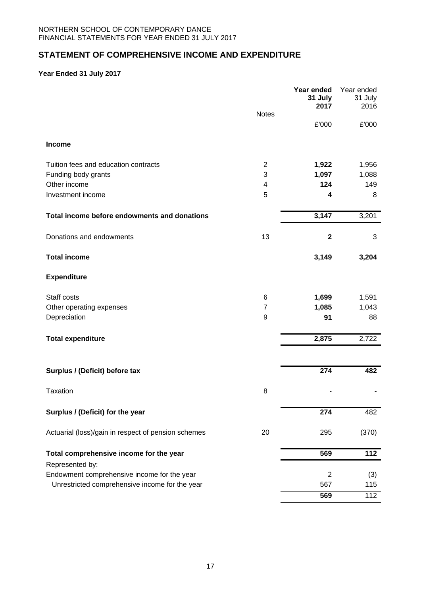# **STATEMENT OF COMPREHENSIVE INCOME AND EXPENDITURE**

## **Year Ended 31 July 2017**

|                                                     | <b>Notes</b>   | Year ended<br>31 July<br>2017 | Year ended<br>31 July<br>2016 |
|-----------------------------------------------------|----------------|-------------------------------|-------------------------------|
|                                                     |                | £'000                         | £'000                         |
| Income                                              |                |                               |                               |
| Tuition fees and education contracts                | $\overline{c}$ | 1,922                         | 1,956                         |
| Funding body grants                                 | 3              | 1,097                         | 1,088                         |
| Other income                                        | 4              | 124                           | 149                           |
| Investment income                                   | 5              | 4                             | 8                             |
| Total income before endowments and donations        |                | 3,147                         | 3,201                         |
| Donations and endowments                            | 13             | $\mathbf{2}$                  | 3                             |
| <b>Total income</b>                                 |                | 3,149                         | 3,204                         |
| <b>Expenditure</b>                                  |                |                               |                               |
| Staff costs                                         | 6              | 1,699                         | 1,591                         |
| Other operating expenses                            | 7              | 1,085                         | 1,043                         |
| Depreciation                                        | 9              | 91                            | 88                            |
| <b>Total expenditure</b>                            |                | 2,875                         | 2,722                         |
|                                                     |                |                               |                               |
| Surplus / (Deficit) before tax                      |                | 274                           | 482                           |
| <b>Taxation</b>                                     | 8              |                               |                               |
| Surplus / (Deficit) for the year                    |                | 274                           | 482                           |
| Actuarial (loss)/gain in respect of pension schemes | 20             | 295                           | (370)                         |
| Total comprehensive income for the year             |                | 569                           | $\overline{112}$              |
| Represented by:                                     |                |                               |                               |
| Endowment comprehensive income for the year         |                | $\overline{2}$                | (3)                           |
| Unrestricted comprehensive income for the year      |                | 567                           | 115                           |
|                                                     |                | 569                           | $\overline{112}$              |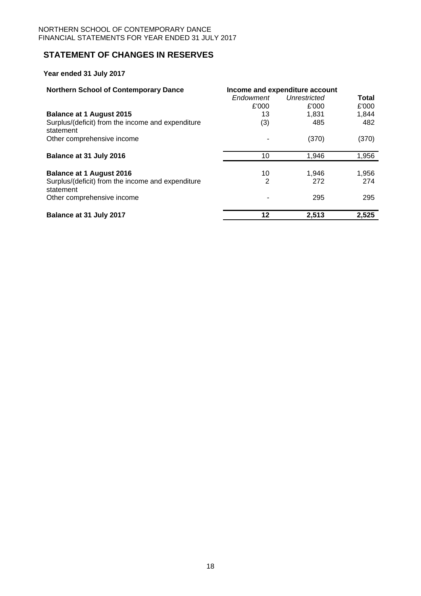## **STATEMENT OF CHANGES IN RESERVES**

**Year ended 31 July 2017**

| <b>Northern School of Contemporary Dance</b>                   | Income and expenditure account |                     |       |
|----------------------------------------------------------------|--------------------------------|---------------------|-------|
|                                                                | Endowment                      | <b>Unrestricted</b> | Total |
|                                                                | £'000                          | £'000               | £'000 |
| <b>Balance at 1 August 2015</b>                                | 13                             | 1.831               | 1,844 |
| Surplus/(deficit) from the income and expenditure<br>statement | (3)                            | 485                 | 482   |
| Other comprehensive income                                     |                                | (370)               | (370) |
| Balance at 31 July 2016                                        | 10                             | 1,946               | 1,956 |
|                                                                |                                |                     |       |
| <b>Balance at 1 August 2016</b>                                | 10                             | 1,946               | 1,956 |
| Surplus/(deficit) from the income and expenditure<br>statement | 2                              | 272                 | 274   |
| Other comprehensive income                                     |                                | 295                 | 295   |
| Balance at 31 July 2017                                        | 12                             | 2,513               | 2,525 |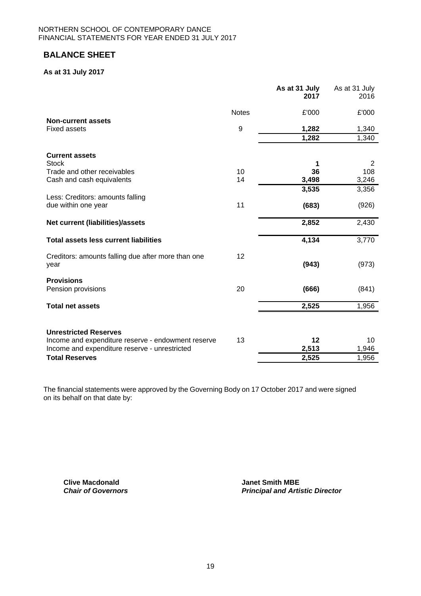## **BALANCE SHEET**

### **As at 31 July 2017**

|                                                            |              | As at 31 July<br>2017 | As at 31 July<br>2016 |
|------------------------------------------------------------|--------------|-----------------------|-----------------------|
|                                                            | <b>Notes</b> | £'000                 | £'000                 |
| <b>Non-current assets</b><br><b>Fixed assets</b>           | 9            | 1,282                 | 1,340                 |
|                                                            |              | 1,282                 | 1,340                 |
| <b>Current assets</b>                                      |              |                       |                       |
| <b>Stock</b><br>Trade and other receivables                | 10           | 1<br>36               | 2<br>108              |
| Cash and cash equivalents                                  | 14           | 3,498                 | 3,246                 |
|                                                            |              | 3,535                 | 3,356                 |
| Less: Creditors: amounts falling<br>due within one year    | 11           | (683)                 | (926)                 |
| Net current (liabilities)/assets                           |              | 2,852                 | 2,430                 |
| <b>Total assets less current liabilities</b>               |              | 4,134                 | 3,770                 |
| Creditors: amounts falling due after more than one<br>year | 12           | (943)                 | (973)                 |
| <b>Provisions</b><br>Pension provisions                    | 20           | (666)                 | (841)                 |
| <b>Total net assets</b>                                    |              | 2,525                 | 1,956                 |
| <b>Unrestricted Reserves</b>                               |              |                       |                       |
| Income and expenditure reserve - endowment reserve         | 13           | 12                    | 10                    |
| Income and expenditure reserve - unrestricted              |              | 2,513                 | 1,946                 |
| <b>Total Reserves</b>                                      |              | 2,525                 | 1,956                 |

The financial statements were approved by the Governing Body on 17 October 2017 and were signed on its behalf on that date by:

**Clive Macdonald**<br> **Chair of Governors**<br> **Chair of Governors**<br> **Janet Smith MBE** 

**Principal and Artistic Director**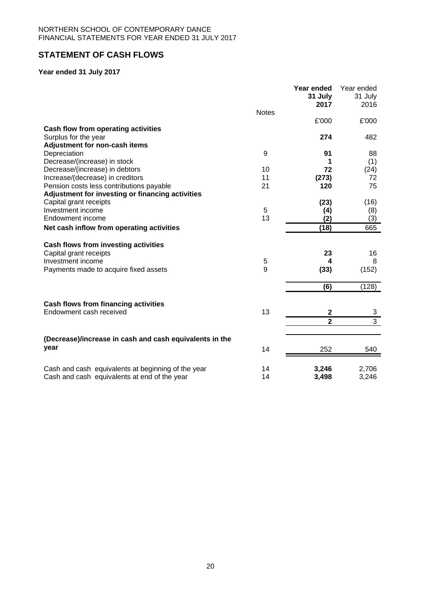# **STATEMENT OF CASH FLOWS**

## **Year ended 31 July 2017**

|                                                                                                                              | <b>Notes</b> | Year ended<br>31 July<br>2017      | Year ended<br>31 July<br>2016 |
|------------------------------------------------------------------------------------------------------------------------------|--------------|------------------------------------|-------------------------------|
|                                                                                                                              |              | £'000                              | £'000                         |
| Cash flow from operating activities                                                                                          |              | 274                                | 482                           |
| Surplus for the year<br>Adjustment for non-cash items                                                                        |              |                                    |                               |
| Depreciation                                                                                                                 | 9            | 91                                 | 88                            |
| Decrease/(increase) in stock                                                                                                 |              | 1                                  | (1)                           |
| Decrease/(increase) in debtors                                                                                               | 10           | 72                                 | (24)                          |
| Increase/(decrease) in creditors                                                                                             | 11           | (273)                              | 72                            |
| Pension costs less contributions payable                                                                                     | 21           | 120                                | 75                            |
| Adjustment for investing or financing activities                                                                             |              |                                    |                               |
| Capital grant receipts                                                                                                       |              | (23)                               | (16)                          |
| Investment income                                                                                                            | 5            | (4)                                | (8)                           |
| Endowment income                                                                                                             | 13           | (2)                                | (3)                           |
| Net cash inflow from operating activities                                                                                    |              | (18)                               | 665                           |
| Cash flows from investing activities<br>Capital grant receipts<br>Investment income<br>Payments made to acquire fixed assets | 5<br>9       | 23<br>4<br>(33)                    | 16<br>8<br>(152)              |
|                                                                                                                              |              | (6)                                | (128)                         |
| <b>Cash flows from financing activities</b><br>Endowment cash received                                                       | 13           | $\boldsymbol{2}$<br>$\overline{2}$ | 3<br>$\overline{3}$           |
|                                                                                                                              |              |                                    |                               |
| (Decrease)/increase in cash and cash equivalents in the<br>year                                                              | 14           | 252                                | 540                           |
| Cash and cash equivalents at beginning of the year<br>Cash and cash equivalents at end of the year                           | 14<br>14     | 3,246<br>3,498                     | 2,706<br>3,246                |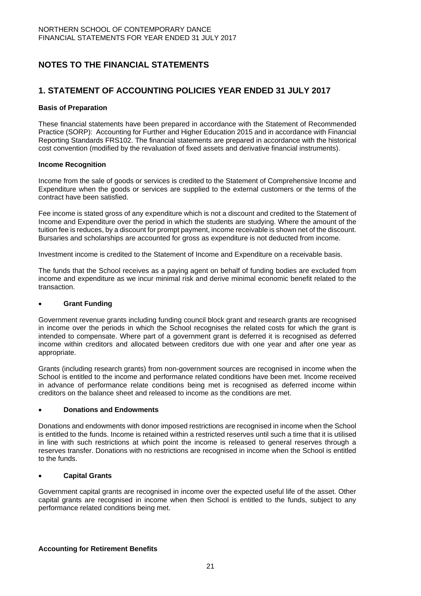# **NOTES TO THE FINANCIAL STATEMENTS**

## **1. STATEMENT OF ACCOUNTING POLICIES YEAR ENDED 31 JULY 2017**

### **Basis of Preparation**

These financial statements have been prepared in accordance with the Statement of Recommended Practice (SORP): Accounting for Further and Higher Education 2015 and in accordance with Financial Reporting Standards FRS102. The financial statements are prepared in accordance with the historical cost convention (modified by the revaluation of fixed assets and derivative financial instruments).

#### **Income Recognition**

Income from the sale of goods or services is credited to the Statement of Comprehensive Income and Expenditure when the goods or services are supplied to the external customers or the terms of the contract have been satisfied.

Fee income is stated gross of any expenditure which is not a discount and credited to the Statement of Income and Expenditure over the period in which the students are studying. Where the amount of the tuition fee is reduces, by a discount for prompt payment, income receivable is shown net of the discount. Bursaries and scholarships are accounted for gross as expenditure is not deducted from income.

Investment income is credited to the Statement of Income and Expenditure on a receivable basis.

The funds that the School receives as a paying agent on behalf of funding bodies are excluded from income and expenditure as we incur minimal risk and derive minimal economic benefit related to the transaction.

### **Grant Funding**

Government revenue grants including funding council block grant and research grants are recognised in income over the periods in which the School recognises the related costs for which the grant is intended to compensate. Where part of a government grant is deferred it is recognised as deferred income within creditors and allocated between creditors due with one year and after one year as appropriate.

Grants (including research grants) from non-government sources are recognised in income when the School is entitled to the income and performance related conditions have been met. Income received in advance of performance relate conditions being met is recognised as deferred income within creditors on the balance sheet and released to income as the conditions are met.

### **Donations and Endowments**

Donations and endowments with donor imposed restrictions are recognised in income when the School is entitled to the funds. Income is retained within a restricted reserves until such a time that it is utilised in line with such restrictions at which point the income is released to general reserves through a reserves transfer. Donations with no restrictions are recognised in income when the School is entitled to the funds.

### **Capital Grants**

Government capital grants are recognised in income over the expected useful life of the asset. Other capital grants are recognised in income when then School is entitled to the funds, subject to any performance related conditions being met.

### **Accounting for Retirement Benefits**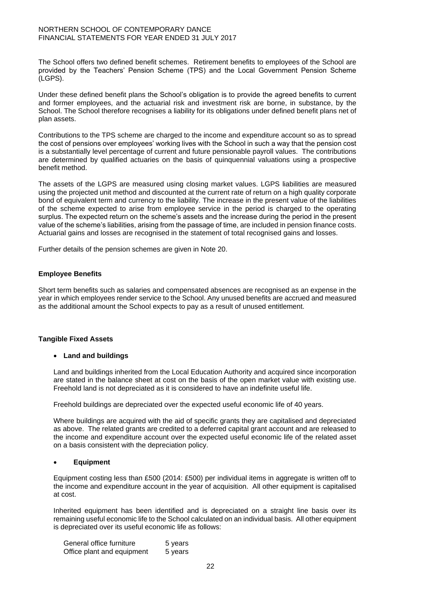The School offers two defined benefit schemes. Retirement benefits to employees of the School are provided by the Teachers' Pension Scheme (TPS) and the Local Government Pension Scheme (LGPS).

Under these defined benefit plans the School's obligation is to provide the agreed benefits to current and former employees, and the actuarial risk and investment risk are borne, in substance, by the School. The School therefore recognises a liability for its obligations under defined benefit plans net of plan assets.

Contributions to the TPS scheme are charged to the income and expenditure account so as to spread the cost of pensions over employees' working lives with the School in such a way that the pension cost is a substantially level percentage of current and future pensionable payroll values. The contributions are determined by qualified actuaries on the basis of quinquennial valuations using a prospective benefit method.

The assets of the LGPS are measured using closing market values. LGPS liabilities are measured using the projected unit method and discounted at the current rate of return on a high quality corporate bond of equivalent term and currency to the liability. The increase in the present value of the liabilities of the scheme expected to arise from employee service in the period is charged to the operating surplus. The expected return on the scheme's assets and the increase during the period in the present value of the scheme's liabilities, arising from the passage of time, are included in pension finance costs. Actuarial gains and losses are recognised in the statement of total recognised gains and losses.

Further details of the pension schemes are given in Note 20.

### **Employee Benefits**

Short term benefits such as salaries and compensated absences are recognised as an expense in the year in which employees render service to the School. Any unused benefits are accrued and measured as the additional amount the School expects to pay as a result of unused entitlement.

### **Tangible Fixed Assets**

#### **Land and buildings**

Land and buildings inherited from the Local Education Authority and acquired since incorporation are stated in the balance sheet at cost on the basis of the open market value with existing use. Freehold land is not depreciated as it is considered to have an indefinite useful life.

Freehold buildings are depreciated over the expected useful economic life of 40 years.

Where buildings are acquired with the aid of specific grants they are capitalised and depreciated as above. The related grants are credited to a deferred capital grant account and are released to the income and expenditure account over the expected useful economic life of the related asset on a basis consistent with the depreciation policy.

#### **Equipment**

Equipment costing less than £500 (2014: £500) per individual items in aggregate is written off to the income and expenditure account in the year of acquisition. All other equipment is capitalised at cost.

Inherited equipment has been identified and is depreciated on a straight line basis over its remaining useful economic life to the School calculated on an individual basis. All other equipment is depreciated over its useful economic life as follows:

| General office furniture   | 5 years |
|----------------------------|---------|
| Office plant and equipment | 5 years |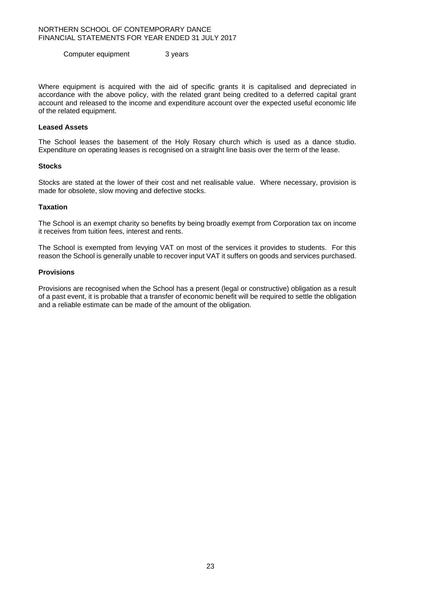Computer equipment 3 years

Where equipment is acquired with the aid of specific grants it is capitalised and depreciated in accordance with the above policy, with the related grant being credited to a deferred capital grant account and released to the income and expenditure account over the expected useful economic life of the related equipment.

#### **Leased Assets**

The School leases the basement of the Holy Rosary church which is used as a dance studio. Expenditure on operating leases is recognised on a straight line basis over the term of the lease.

#### **Stocks**

Stocks are stated at the lower of their cost and net realisable value. Where necessary, provision is made for obsolete, slow moving and defective stocks.

#### **Taxation**

The School is an exempt charity so benefits by being broadly exempt from Corporation tax on income it receives from tuition fees, interest and rents.

The School is exempted from levying VAT on most of the services it provides to students. For this reason the School is generally unable to recover input VAT it suffers on goods and services purchased.

#### **Provisions**

Provisions are recognised when the School has a present (legal or constructive) obligation as a result of a past event, it is probable that a transfer of economic benefit will be required to settle the obligation and a reliable estimate can be made of the amount of the obligation.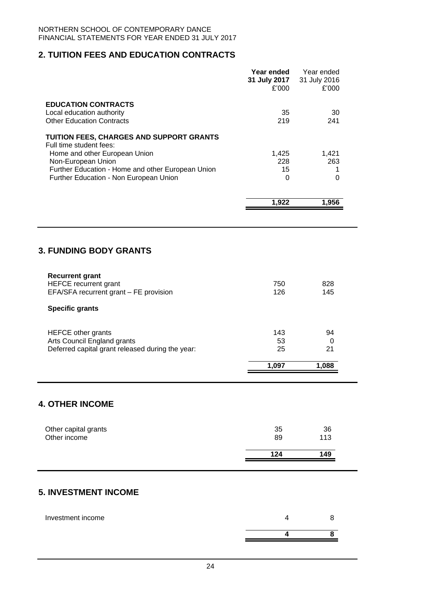# **2. TUITION FEES AND EDUCATION CONTRACTS**

|                                                                                                                                                                                                                                                                             | Year ended<br>31 July 2017<br>£'000    | Year ended<br>31 July 2016<br>£'000  |
|-----------------------------------------------------------------------------------------------------------------------------------------------------------------------------------------------------------------------------------------------------------------------------|----------------------------------------|--------------------------------------|
| <b>EDUCATION CONTRACTS</b><br>Local education authority<br><b>Other Education Contracts</b>                                                                                                                                                                                 | 35<br>219                              | 30<br>241                            |
| TUITION FEES, CHARGES AND SUPPORT GRANTS<br>Full time student fees:<br>Home and other European Union<br>Non-European Union<br>Further Education - Home and other European Union<br>Further Education - Non European Union                                                   | 1,425<br>228<br>15<br>0                | 1,421<br>263<br>1<br>0               |
|                                                                                                                                                                                                                                                                             | 1,922                                  | 1,956                                |
| <b>3. FUNDING BODY GRANTS</b><br><b>Recurrent grant</b><br><b>HEFCE</b> recurrent grant<br>EFA/SFA recurrent grant - FE provision<br><b>Specific grants</b><br><b>HEFCE other grants</b><br>Arts Council England grants<br>Deferred capital grant released during the year: | 750<br>126<br>143<br>53<br>25<br>1,097 | 828<br>145<br>94<br>0<br>21<br>1,088 |
| <b>4. OTHER INCOME</b>                                                                                                                                                                                                                                                      |                                        |                                      |
| Other capital grants<br>Other income                                                                                                                                                                                                                                        | 35<br>89                               | 36<br>113                            |
|                                                                                                                                                                                                                                                                             | 124                                    | 149                                  |
| <b>5. INVESTMENT INCOME</b>                                                                                                                                                                                                                                                 |                                        |                                      |

| Investment income |  |
|-------------------|--|
|                   |  |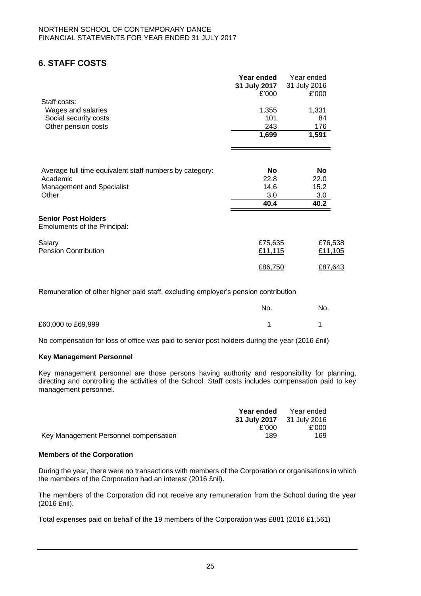# **6. STAFF COSTS**

|                                                                   | Year ended<br>31 July 2017<br>£'000 | Year ended<br>31 July 2016<br>£'000 |
|-------------------------------------------------------------------|-------------------------------------|-------------------------------------|
| Staff costs:                                                      |                                     |                                     |
| Wages and salaries                                                | 1,355<br>101                        | 1,331<br>84                         |
| Social security costs<br>Other pension costs                      | 243                                 | 176                                 |
|                                                                   | 1,699                               | 1,591                               |
|                                                                   |                                     |                                     |
| Average full time equivalent staff numbers by category:           | No                                  | No                                  |
| Academic                                                          | 22.8                                | 22.0                                |
| <b>Management and Specialist</b>                                  | 14.6                                | 15.2                                |
| Other                                                             | 3.0                                 | 3.0                                 |
|                                                                   | 40.4                                | 40.2                                |
| <b>Senior Post Holders</b><br><b>Emoluments of the Principal:</b> |                                     |                                     |
| Salary                                                            | £75,635                             | £76,538                             |
| <b>Pension Contribution</b>                                       | £11,115                             | £11,105                             |
|                                                                   | £86,750                             | £87,643                             |

Remuneration of other higher paid staff, excluding employer's pension contribution

|                    | No. | No. |
|--------------------|-----|-----|
| £60,000 to £69,999 |     |     |

No compensation for loss of office was paid to senior post holders during the year (2016 £nil)

### **Key Management Personnel**

Key management personnel are those persons having authority and responsibility for planning, directing and controlling the activities of the School. Staff costs includes compensation paid to key management personnel.

|                                       | Year ended                | Year ended |
|---------------------------------------|---------------------------|------------|
|                                       | 31 July 2017 31 July 2016 |            |
|                                       | £'000                     | £'000      |
| Key Management Personnel compensation | 189                       | 169        |

#### **Members of the Corporation**

During the year, there were no transactions with members of the Corporation or organisations in which the members of the Corporation had an interest (2016 £nil).

The members of the Corporation did not receive any remuneration from the School during the year (2016 £nil).

Total expenses paid on behalf of the 19 members of the Corporation was £881 (2016 £1,561)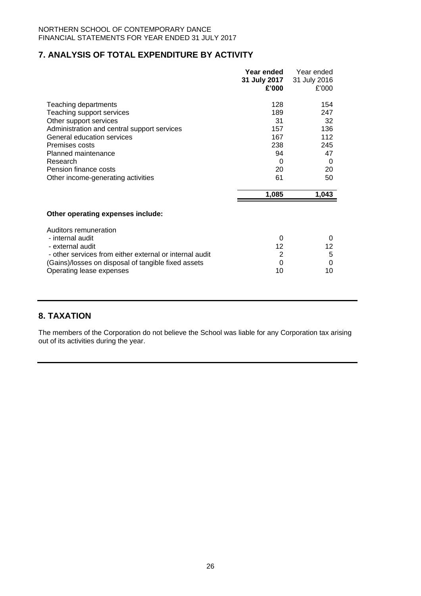## **7. ANALYSIS OF TOTAL EXPENDITURE BY ACTIVITY**

|                                                         | Year ended     | Year ended   |
|---------------------------------------------------------|----------------|--------------|
|                                                         | 31 July 2017   | 31 July 2016 |
|                                                         | £'000          | £'000        |
|                                                         |                |              |
| Teaching departments                                    | 128            | 154          |
| Teaching support services                               | 189            | 247          |
| Other support services                                  | 31             | 32           |
| Administration and central support services             | 157            | 136          |
| General education services                              | 167            | 112          |
| Premises costs                                          | 238            | 245          |
| Planned maintenance                                     | 94             | 47           |
| Research                                                | 0              | 0            |
| Pension finance costs                                   | 20             | 20           |
| Other income-generating activities                      | 61             | 50           |
|                                                         | 1,085          | 1,043        |
| Other operating expenses include:                       |                |              |
|                                                         |                |              |
| Auditors remuneration                                   |                |              |
| - internal audit                                        | 0              | 0            |
| - external audit                                        | 12             | 12           |
| - other services from either external or internal audit | $\overline{2}$ | 5            |
| (Gains)/losses on disposal of tangible fixed assets     | 0              | 0            |
|                                                         |                |              |
| Operating lease expenses                                | 10             | 10           |

# **8. TAXATION**

The members of the Corporation do not believe the School was liable for any Corporation tax arising out of its activities during the year.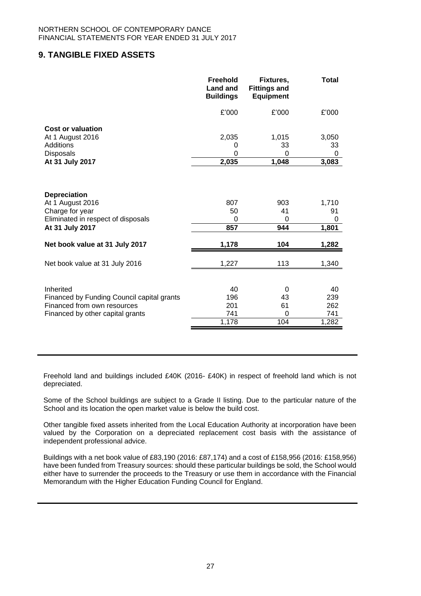## **9. TANGIBLE FIXED ASSETS**

|                                            | <b>Freehold</b><br><b>Land and</b><br><b>Buildings</b> | Fixtures,<br><b>Fittings and</b><br><b>Equipment</b> | <b>Total</b> |
|--------------------------------------------|--------------------------------------------------------|------------------------------------------------------|--------------|
|                                            | £'000                                                  | £'000                                                | £'000        |
| <b>Cost or valuation</b>                   |                                                        |                                                      |              |
| At 1 August 2016                           | 2,035                                                  | 1,015                                                | 3,050        |
| Additions                                  | 0                                                      | 33                                                   | 33           |
| <b>Disposals</b><br>At 31 July 2017        | 0<br>2,035                                             | 0<br>1,048                                           | 0<br>3,083   |
|                                            |                                                        |                                                      |              |
|                                            |                                                        |                                                      |              |
| <b>Depreciation</b>                        |                                                        |                                                      |              |
| At 1 August 2016                           | 807                                                    | 903                                                  | 1,710        |
| Charge for year                            | 50                                                     | 41                                                   | 91           |
| Eliminated in respect of disposals         | 0<br>857                                               | 0<br>944                                             | 0            |
| At 31 July 2017                            |                                                        |                                                      | 1,801        |
| Net book value at 31 July 2017             | 1,178                                                  | 104                                                  | 1,282        |
| Net book value at 31 July 2016             | 1,227                                                  | 113                                                  | 1,340        |
|                                            |                                                        |                                                      |              |
| Inherited                                  | 40                                                     | 0                                                    | 40           |
| Financed by Funding Council capital grants | 196                                                    | 43                                                   | 239          |
| Financed from own resources                | 201                                                    | 61                                                   | 262          |
| Financed by other capital grants           | 741                                                    | 0                                                    | 741          |
|                                            | 1,178                                                  | 104                                                  | 1,282        |

Freehold land and buildings included £40K (2016- £40K) in respect of freehold land which is not depreciated.

Some of the School buildings are subject to a Grade II listing. Due to the particular nature of the School and its location the open market value is below the build cost.

Other tangible fixed assets inherited from the Local Education Authority at incorporation have been valued by the Corporation on a depreciated replacement cost basis with the assistance of independent professional advice.

Buildings with a net book value of £83,190 (2016: £87,174) and a cost of £158,956 (2016: £158,956) have been funded from Treasury sources: should these particular buildings be sold, the School would either have to surrender the proceeds to the Treasury or use them in accordance with the Financial Memorandum with the Higher Education Funding Council for England.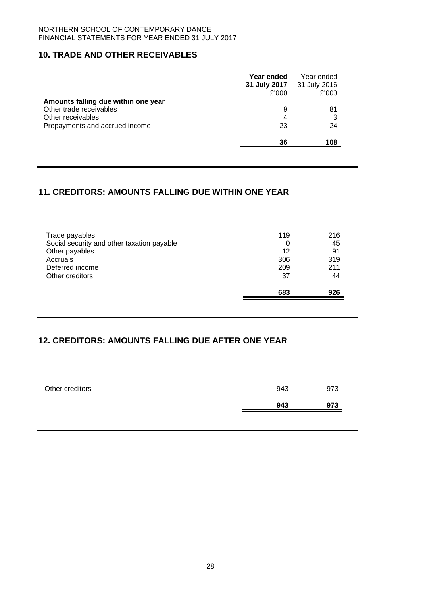## **10. TRADE AND OTHER RECEIVABLES**

|                                     | Year ended<br>31 July 2017<br>£'000 | Year ended<br>31 July 2016<br>£'000 |
|-------------------------------------|-------------------------------------|-------------------------------------|
| Amounts falling due within one year |                                     |                                     |
| Other trade receivables             | 9                                   | 81                                  |
| Other receivables                   | 4                                   | 3                                   |
| Prepayments and accrued income      | 23                                  | 24                                  |
|                                     | 36                                  | 108                                 |

## **11. CREDITORS: AMOUNTS FALLING DUE WITHIN ONE YEAR**

| Trade payables                             | 119       | 216       |
|--------------------------------------------|-----------|-----------|
| Social security and other taxation payable | 0         | 45        |
| Other payables                             | 12        | 91        |
| Accruals                                   | 306       | 319       |
| Deferred income                            | 209       | 211       |
| Other creditors                            | 37<br>683 | 44<br>926 |

# **12. CREDITORS: AMOUNTS FALLING DUE AFTER ONE YEAR**

| Other creditors | 943 | 973 |
|-----------------|-----|-----|
|                 | 943 | 973 |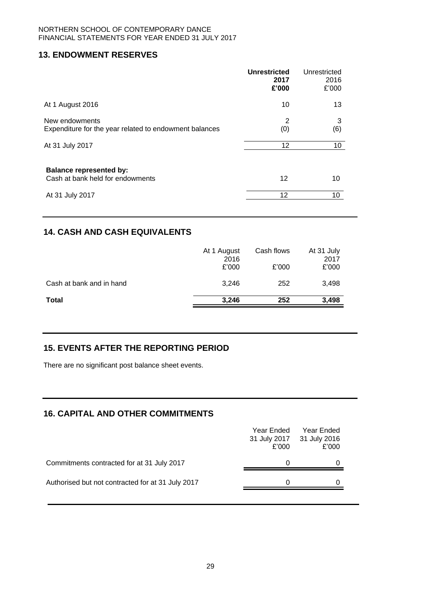## **13. ENDOWMENT RESERVES**

|                                                                          | <b>Unrestricted</b><br>2017<br>£'000 | Unrestricted<br>2016<br>£'000 |
|--------------------------------------------------------------------------|--------------------------------------|-------------------------------|
| At 1 August 2016                                                         | 10                                   | 13                            |
| New endowments<br>Expenditure for the year related to endowment balances | 2<br>(0)                             | 3<br>(6)                      |
| At 31 July 2017                                                          | 12                                   | 10                            |
| <b>Balance represented by:</b><br>Cash at bank held for endowments       | 12                                   | 10                            |
| At 31 July 2017                                                          | 12                                   | 10                            |

# **14. CASH AND CASH EQUIVALENTS**

|                          | At 1 August<br>2016<br>£'000 | Cash flows<br>£'000 | At 31 July<br>2017<br>£'000 |
|--------------------------|------------------------------|---------------------|-----------------------------|
| Cash at bank and in hand | 3.246                        | 252                 | 3,498                       |
| <b>Total</b>             | 3.246                        | 252                 | 3,498                       |

# **15. EVENTS AFTER THE REPORTING PERIOD**

There are no significant post balance sheet events.

# **16. CAPITAL AND OTHER COMMITMENTS**

|                                                   | Year Ended<br>31 July 2017<br>£'000 | Year Ended<br>31 July 2016<br>£'000 |
|---------------------------------------------------|-------------------------------------|-------------------------------------|
| Commitments contracted for at 31 July 2017        |                                     |                                     |
| Authorised but not contracted for at 31 July 2017 |                                     |                                     |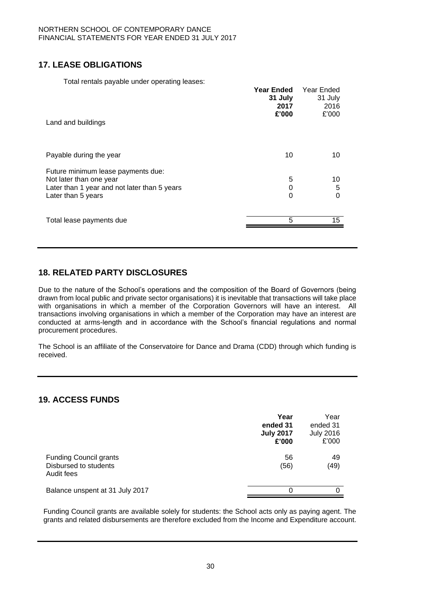# **17. LEASE OBLIGATIONS**

Total rentals payable under operating leases:

| Land and buildings                                                                                                                  | <b>Year Ended</b><br>31 July<br>2017<br>£'000 | Year Ended<br>31 July<br>2016<br>£'000 |
|-------------------------------------------------------------------------------------------------------------------------------------|-----------------------------------------------|----------------------------------------|
| Payable during the year                                                                                                             | 10                                            | 10                                     |
| Future minimum lease payments due:<br>Not later than one year<br>Later than 1 year and not later than 5 years<br>Later than 5 years | 5<br>0<br>0                                   | 10<br>5<br>0                           |
| Total lease payments due                                                                                                            | 5                                             | 15                                     |

# **18. RELATED PARTY DISCLOSURES**

Due to the nature of the School's operations and the composition of the Board of Governors (being drawn from local public and private sector organisations) it is inevitable that transactions will take place with organisations in which a member of the Corporation Governors will have an interest. All transactions involving organisations in which a member of the Corporation may have an interest are conducted at arms-length and in accordance with the School's financial regulations and normal procurement procedures.

The School is an affiliate of the Conservatoire for Dance and Drama (CDD) through which funding is received.

## **19. ACCESS FUNDS**

|                                                                      | Year<br>ended 31<br><b>July 2017</b><br>£'000 | Year<br>ended 31<br><b>July 2016</b><br>£'000 |
|----------------------------------------------------------------------|-----------------------------------------------|-----------------------------------------------|
| <b>Funding Council grants</b><br>Disbursed to students<br>Audit fees | 56<br>(56)                                    | 49<br>(49)                                    |
| Balance unspent at 31 July 2017                                      | ∩                                             | 0                                             |

Funding Council grants are available solely for students: the School acts only as paying agent. The grants and related disbursements are therefore excluded from the Income and Expenditure account.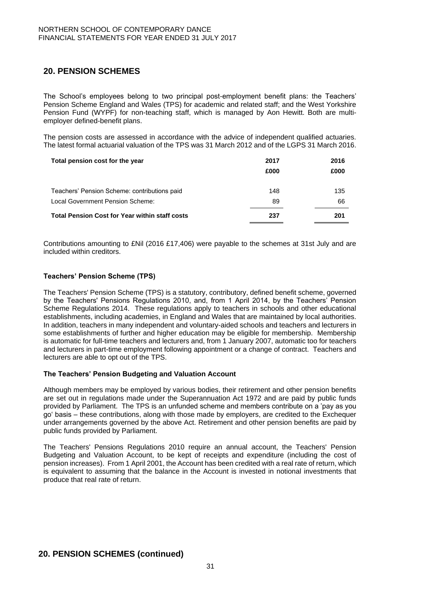# **20. PENSION SCHEMES**

The School's employees belong to two principal post-employment benefit plans: the Teachers' Pension Scheme England and Wales (TPS) for academic and related staff; and the West Yorkshire Pension Fund (WYPF) for non-teaching staff, which is managed by Aon Hewitt. Both are multiemployer defined-benefit plans.

The pension costs are assessed in accordance with the advice of independent qualified actuaries. The latest formal actuarial valuation of the TPS was 31 March 2012 and of the LGPS 31 March 2016.

| Total pension cost for the year                       | 2017<br>£000 | 2016<br>£000 |
|-------------------------------------------------------|--------------|--------------|
| Teachers' Pension Scheme: contributions paid          | 148          | 135          |
| Local Government Pension Scheme:                      | 89           | 66           |
| <b>Total Pension Cost for Year within staff costs</b> | 237          | 201          |

Contributions amounting to £Nil (2016 £17,406) were payable to the schemes at 31st July and are included within creditors.

#### **Teachers' Pension Scheme (TPS)**

The Teachers' Pension Scheme (TPS) is a statutory, contributory, defined benefit scheme, governed by the Teachers' Pensions Regulations 2010, and, from 1 April 2014, by the Teachers' Pension Scheme Regulations 2014. These regulations apply to teachers in schools and other educational establishments, including academies, in England and Wales that are maintained by local authorities. In addition, teachers in many independent and voluntary-aided schools and teachers and lecturers in some establishments of further and higher education may be eligible for membership. Membership is automatic for full-time teachers and lecturers and, from 1 January 2007, automatic too for teachers and lecturers in part-time employment following appointment or a change of contract. Teachers and lecturers are able to opt out of the TPS.

#### **The Teachers' Pension Budgeting and Valuation Account**

Although members may be employed by various bodies, their retirement and other pension benefits are set out in regulations made under the Superannuation Act 1972 and are paid by public funds provided by Parliament. The TPS is an unfunded scheme and members contribute on a 'pay as you go' basis – these contributions, along with those made by employers, are credited to the Exchequer under arrangements governed by the above Act. Retirement and other pension benefits are paid by public funds provided by Parliament.

The Teachers' Pensions Regulations 2010 require an annual account, the Teachers' Pension Budgeting and Valuation Account, to be kept of receipts and expenditure (including the cost of pension increases). From 1 April 2001, the Account has been credited with a real rate of return, which is equivalent to assuming that the balance in the Account is invested in notional investments that produce that real rate of return.

### **20. PENSION SCHEMES (continued)**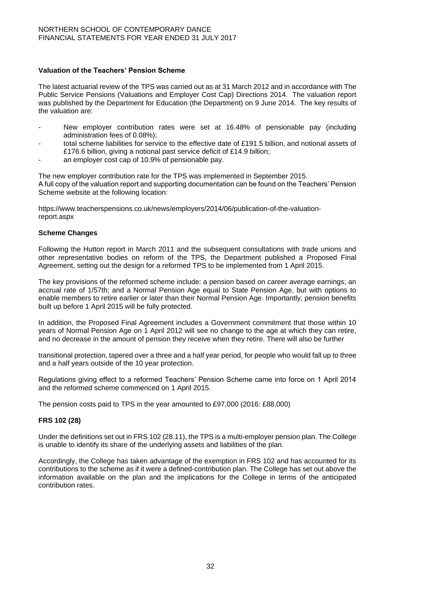### **Valuation of the Teachers' Pension Scheme**

The latest actuarial review of the TPS was carried out as at 31 March 2012 and in accordance with The Public Service Pensions (Valuations and Employer Cost Cap) Directions 2014. The valuation report was published by the Department for Education (the Department) on 9 June 2014. The key results of the valuation are:

- New employer contribution rates were set at 16.48% of pensionable pay (including administration fees of 0.08%);
- total scheme liabilities for service to the effective date of £191.5 billion, and notional assets of £176.6 billion, giving a notional past service deficit of £14.9 billion;
- an employer cost cap of 10.9% of pensionable pay.

The new employer contribution rate for the TPS was implemented in September 2015. A full copy of the valuation report and supporting documentation can be found on the Teachers' Pension Scheme website at the following location:

https://www.teacherspensions.co.uk/news/employers/2014/06/publication-of-the-valuationreport.aspx

#### **Scheme Changes**

Following the Hutton report in March 2011 and the subsequent consultations with trade unions and other representative bodies on reform of the TPS, the Department published a Proposed Final Agreement, setting out the design for a reformed TPS to be implemented from 1 April 2015.

The key provisions of the reformed scheme include: a pension based on career average earnings; an accrual rate of 1/57th; and a Normal Pension Age equal to State Pension Age, but with options to enable members to retire earlier or later than their Normal Pension Age. Importantly, pension benefits built up before 1 April 2015 will be fully protected.

In addition, the Proposed Final Agreement includes a Government commitment that those within 10 years of Normal Pension Age on 1 April 2012 will see no change to the age at which they can retire, and no decrease in the amount of pension they receive when they retire. There will also be further

transitional protection, tapered over a three and a half year period, for people who would fall up to three and a half years outside of the 10 year protection.

Regulations giving effect to a reformed Teachers' Pension Scheme came into force on 1 April 2014 and the reformed scheme commenced on 1 April 2015.

The pension costs paid to TPS in the year amounted to £97,000 (2016: £88,000)

### **FRS 102 (28)**

Under the definitions set out in FRS 102 (28.11), the TPS is a multi-employer pension plan. The College is unable to identify its share of the underlying assets and liabilities of the plan.

Accordingly, the College has taken advantage of the exemption in FRS 102 and has accounted for its contributions to the scheme as if it were a defined-contribution plan. The College has set out above the information available on the plan and the implications for the College in terms of the anticipated contribution rates.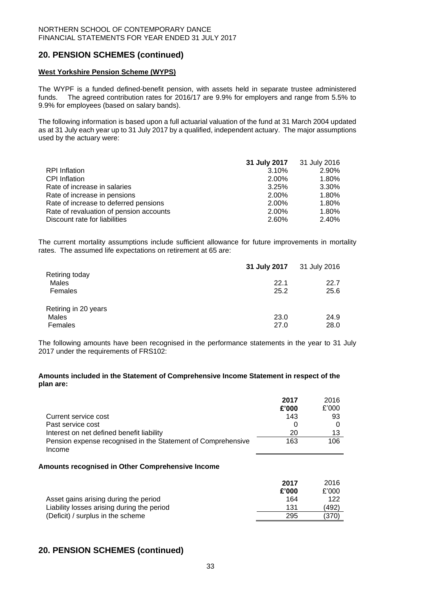### **20. PENSION SCHEMES (continued)**

### **West Yorkshire Pension Scheme (WYPS)**

The WYPF is a funded defined-benefit pension, with assets held in separate trustee administered funds. The agreed contribution rates for 2016/17 are 9.9% for employers and range from 5.5% to 9.9% for employees (based on salary bands).

The following information is based upon a full actuarial valuation of the fund at 31 March 2004 updated as at 31 July each year up to 31 July 2017 by a qualified, independent actuary.The major assumptions used by the actuary were:

|                                         | 31 July 2017 31 July 2016 |       |
|-----------------------------------------|---------------------------|-------|
| <b>RPI</b> Inflation                    | 3.10%                     | 2.90% |
| <b>CPI</b> Inflation                    | 2.00%                     | 1.80% |
| Rate of increase in salaries            | 3.25%                     | 3.30% |
| Rate of increase in pensions            | 2.00%                     | 1.80% |
| Rate of increase to deferred pensions   | 2.00%                     | 1.80% |
| Rate of revaluation of pension accounts | 2.00%                     | 1.80% |
| Discount rate for liabilities           | 2.60%                     | 2.40% |

The current mortality assumptions include sufficient allowance for future improvements in mortality rates. The assumed life expectations on retirement at 65 are:

| Retiring today                           | 31 July 2017 | 31 July 2016 |  |
|------------------------------------------|--------------|--------------|--|
| Males<br>Females                         | 22.1<br>25.2 | 22.7<br>25.6 |  |
| Retiring in 20 years<br>Males<br>Females | 23.0<br>27.0 | 24.9<br>28.0 |  |

The following amounts have been recognised in the performance statements in the year to 31 July 2017 under the requirements of FRS102:

#### **Amounts included in the Statement of Comprehensive Income Statement in respect of the plan are:**

|                                                              | 2017     | 2016  |
|--------------------------------------------------------------|----------|-------|
|                                                              | £'000    | £'000 |
| Current service cost                                         | 143      | 93    |
| Past service cost                                            | $\Omega$ |       |
| Interest on net defined benefit liability                    | 20       | 13    |
| Pension expense recognised in the Statement of Comprehensive | 163      | 106   |
| Income                                                       |          |       |

#### **Amounts recognised in Other Comprehensive Income**

|                                            | 2017  | 2016  |
|--------------------------------------------|-------|-------|
|                                            | £'000 | £'000 |
| Asset gains arising during the period      | 164   | 122   |
| Liability losses arising during the period | 131   | (492) |
| (Deficit) / surplus in the scheme          | 295   | (370) |
|                                            |       |       |

### **20. PENSION SCHEMES (continued)**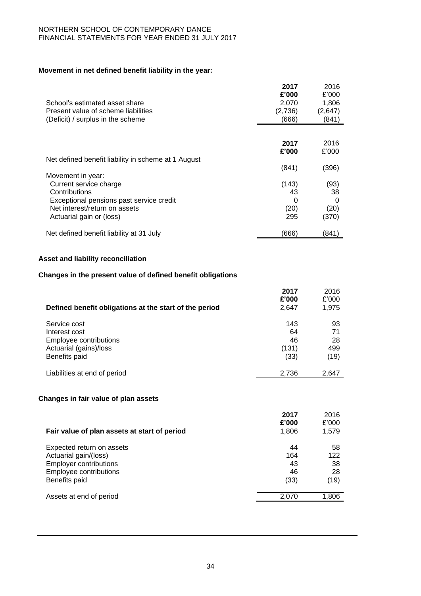## **Movement in net defined benefit liability in the year:**

|                                                                                                   | 2017    | 2016    |
|---------------------------------------------------------------------------------------------------|---------|---------|
|                                                                                                   | £'000   | £'000   |
| School's estimated asset share                                                                    | 2,070   | 1,806   |
| Present value of scheme liabilities                                                               | (2,736) | (2,647) |
| (Deficit) / surplus in the scheme                                                                 | (666)   | (841)   |
|                                                                                                   |         |         |
|                                                                                                   | 2017    | 2016    |
|                                                                                                   | £'000   | £'000   |
| Net defined benefit liability in scheme at 1 August                                               |         |         |
|                                                                                                   | (841)   | (396)   |
| Movement in year:                                                                                 |         |         |
| Current service charge                                                                            | (143)   | (93)    |
| Contributions                                                                                     | 43      | 38      |
| Exceptional pensions past service credit                                                          | 0       | 0       |
| Net interest/return on assets                                                                     | (20)    | (20)    |
| Actuarial gain or (loss)                                                                          | 295     | (370)   |
| Net defined benefit liability at 31 July                                                          | (666)   | (841)   |
| Asset and liability reconciliation<br>Changes in the present value of defined benefit obligations |         |         |
|                                                                                                   | 2017    | 2016    |
|                                                                                                   | £'000   | £'000   |
| Defined benefit obligations at the start of the period                                            | 2,647   | 1,975   |
| Service cost                                                                                      | 143     | 93      |
| Interest cost                                                                                     | 64      | 71      |
| Employee contributions                                                                            | 46      | 28      |
| Actuarial (gains)/loss                                                                            | (131)   | 499     |
| Benefits paid                                                                                     | (33)    | (19)    |
| Liabilities at end of period                                                                      | 2,736   | 2,647   |
|                                                                                                   |         |         |
| Changes in fair value of plan assets                                                              |         |         |
|                                                                                                   | 2017    | 2016    |
|                                                                                                   | £'000   | £'000   |
| Fair value of plan assets at start of period                                                      | 1,806   | 1,579   |
|                                                                                                   |         |         |

| r an value or plan assets at start or period | 00    |       |
|----------------------------------------------|-------|-------|
| Expected return on assets                    | 44    | 58    |
| Actuarial gain/(loss)                        | 164   | 122   |
| <b>Employer contributions</b>                | 43    | 38    |
| Employee contributions                       | 46    | 28    |
| Benefits paid                                | (33)  | (19)  |
| Assets at end of period                      | 2.070 | 1.806 |
|                                              |       |       |